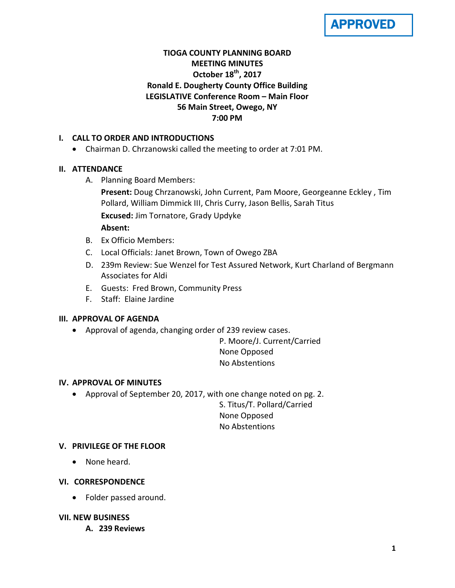# APPROVED

## **TIOGA COUNTY PLANNING BOARD MEETING MINUTES October 18th, 2017 Ronald E. Dougherty County Office Building LEGISLATIVE Conference Room – Main Floor 56 Main Street, Owego, NY 7:00 PM**

## **I. CALL TO ORDER AND INTRODUCTIONS**

• Chairman D. Chrzanowski called the meeting to order at 7:01 PM.

## **II. ATTENDANCE**

A. Planning Board Members:

**Present:** Doug Chrzanowski, John Current, Pam Moore, Georgeanne Eckley , Tim Pollard, William Dimmick III, Chris Curry, Jason Bellis, Sarah Titus **Excused:** Jim Tornatore, Grady Updyke **Absent:**

- B. Ex Officio Members:
- C. Local Officials: Janet Brown, Town of Owego ZBA
- D. 239m Review: Sue Wenzel for Test Assured Network, Kurt Charland of Bergmann Associates for Aldi
- E. Guests: Fred Brown, Community Press
- F. Staff: Elaine Jardine

## **III. APPROVAL OF AGENDA**

• Approval of agenda, changing order of 239 review cases.

P. Moore/J. Current/Carried None Opposed No Abstentions

## **IV. APPROVAL OF MINUTES**

• Approval of September 20, 2017, with one change noted on pg. 2.

S. Titus/T. Pollard/Carried None Opposed No Abstentions

## **V. PRIVILEGE OF THE FLOOR**

• None heard.

## **VI. CORRESPONDENCE**

• Folder passed around.

## **VII. NEW BUSINESS**

**A. 239 Reviews**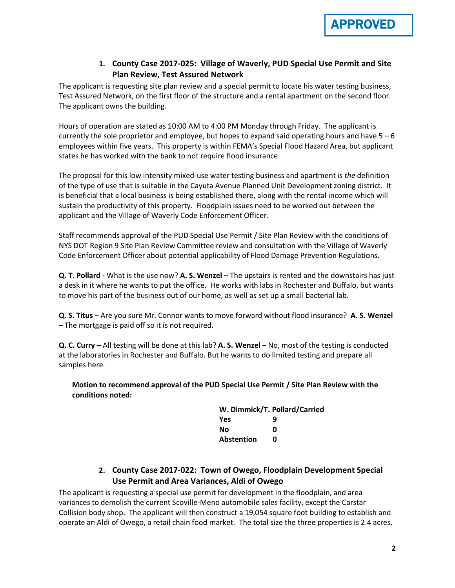

## **1. County Case 2017-025: Village of Waverly, PUD Special Use Permit and Site Plan Review, Test Assured Network**

The applicant is requesting site plan review and a special permit to locate his water testing business, Test Assured Network, on the first floor of the structure and a rental apartment on the second floor. The applicant owns the building.

Hours of operation are stated as 10:00 AM to 4:00 PM Monday through Friday. The applicant is currently the sole proprietor and employee, but hopes to expand said operating hours and have  $5 - 6$ employees within five years. This property is within FEMA's Special Flood Hazard Area, but applicant states he has worked with the bank to not require flood insurance.

The proposal for this low intensity mixed-use water testing business and apartment is *the* definition of the type of use that is suitable in the Cayuta Avenue Planned Unit Development zoning district. It is beneficial that a local business is being established there, along with the rental income which will sustain the productivity of this property. Floodplain issues need to be worked out between the applicant and the Village of Waverly Code Enforcement Officer.

Staff recommends approval of the PUD Special Use Permit / Site Plan Review with the conditions of NYS DOT Region 9 Site Plan Review Committee review and consultation with the Village of Waverly Code Enforcement Officer about potential applicability of Flood Damage Prevention Regulations.

**Q. T. Pollard -** What is the use now? **A. S. Wenzel** – The upstairs is rented and the downstairs has just a desk in it where he wants to put the office. He works with labs in Rochester and Buffalo, but wants to move his part of the business out of our home, as well as set up a small bacterial lab.

**Q. S. Titus** – Are you sure Mr. Connor wants to move forward without flood insurance? **A. S. Wenzel**  – The mortgage is paid off so it is not required.

**Q. C. Curry –** All testing will be done at this lab? **A. S. Wenzel** – No, most of the testing is conducted at the laboratories in Rochester and Buffalo. But he wants to do limited testing and prepare all samples here.

**Motion to recommend approval of the PUD Special Use Permit / Site Plan Review with the conditions noted:**

| W. Dimmick/T. Pollard/Carried |   |  |
|-------------------------------|---|--|
| Yes                           | q |  |
| Nο                            | n |  |
| Abstention                    | n |  |

**2. County Case 2017-022: Town of Owego, Floodplain Development Special Use Permit and Area Variances, Aldi of Owego**

The applicant is requesting a special use permit for development in the floodplain, and area variances to demolish the current Scoville-Meno automobile sales facility, except the Carstar Collision body shop. The applicant will then construct a 19,054 square foot building to establish and operate an Aldi of Owego, a retail chain food market. The total size the three properties is 2.4 acres.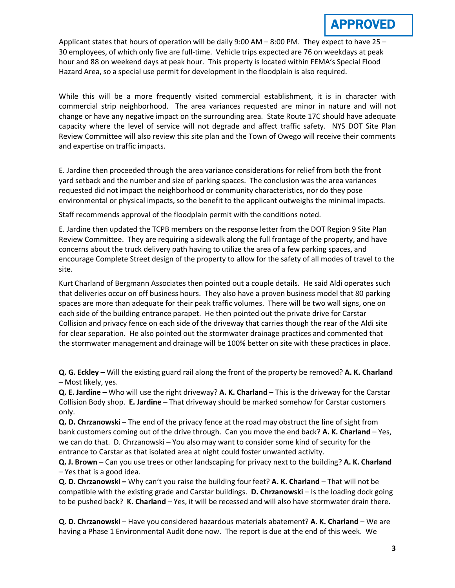Applicant states that hours of operation will be daily 9:00 AM  $-$  8:00 PM. They expect to have 25  $-$ 30 employees, of which only five are full-time. Vehicle trips expected are 76 on weekdays at peak hour and 88 on weekend days at peak hour. This property is located within FEMA's Special Flood Hazard Area, so a special use permit for development in the floodplain is also required.

While this will be a more frequently visited commercial establishment, it is in character with commercial strip neighborhood. The area variances requested are minor in nature and will not change or have any negative impact on the surrounding area. State Route 17C should have adequate capacity where the level of service will not degrade and affect traffic safety. NYS DOT Site Plan Review Committee will also review this site plan and the Town of Owego will receive their comments and expertise on traffic impacts.

E. Jardine then proceeded through the area variance considerations for relief from both the front yard setback and the number and size of parking spaces. The conclusion was the area variances requested did not impact the neighborhood or community characteristics, nor do they pose environmental or physical impacts, so the benefit to the applicant outweighs the minimal impacts.

Staff recommends approval of the floodplain permit with the conditions noted.

E. Jardine then updated the TCPB members on the response letter from the DOT Region 9 Site Plan Review Committee. They are requiring a sidewalk along the full frontage of the property, and have concerns about the truck delivery path having to utilize the area of a few parking spaces, and encourage Complete Street design of the property to allow for the safety of all modes of travel to the site.

Kurt Charland of Bergmann Associates then pointed out a couple details. He said Aldi operates such that deliveries occur on off business hours. They also have a proven business model that 80 parking spaces are more than adequate for their peak traffic volumes. There will be two wall signs, one on each side of the building entrance parapet. He then pointed out the private drive for Carstar Collision and privacy fence on each side of the driveway that carries though the rear of the Aldi site for clear separation. He also pointed out the stormwater drainage practices and commented that the stormwater management and drainage will be 100% better on site with these practices in place.

**Q. G. Eckley –** Will the existing guard rail along the front of the property be removed? **A. K. Charland** – Most likely, yes.

**Q. E. Jardine –** Who will use the right driveway? **A. K. Charland** – This is the driveway for the Carstar Collision Body shop. **E. Jardine** – That driveway should be marked somehow for Carstar customers only.

**Q. D. Chrzanowski –** The end of the privacy fence at the road may obstruct the line of sight from bank customers coming out of the drive through. Can you move the end back? **A. K. Charland** – Yes, we can do that. D. Chrzanowski – You also may want to consider some kind of security for the entrance to Carstar as that isolated area at night could foster unwanted activity.

**Q. J. Brown** – Can you use trees or other landscaping for privacy next to the building? **A. K. Charland** – Yes that is a good idea.

**Q. D. Chrzanowski –** Why can't you raise the building four feet? **A. K. Charland** – That will not be compatible with the existing grade and Carstar buildings. **D. Chrzanowski** – Is the loading dock going to be pushed back? **K. Charland** – Yes, it will be recessed and will also have stormwater drain there.

**Q. D. Chrzanowski** – Have you considered hazardous materials abatement? **A. K. Charland** – We are having a Phase 1 Environmental Audit done now. The report is due at the end of this week. We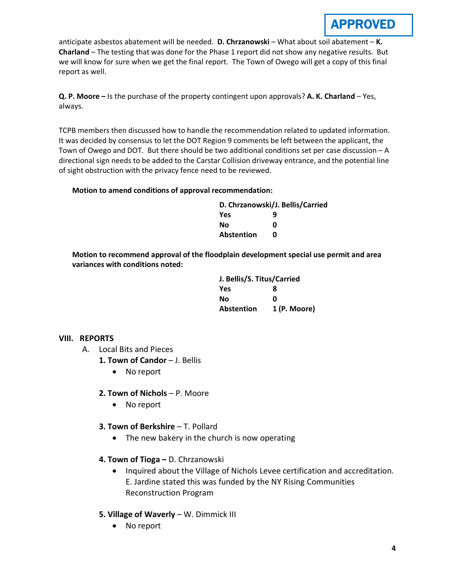## APPROVED

anticipate asbestos abatement will be needed. **D. Chrzanowski** – What about soil abatement – **K. Charland** – The testing that was done for the Phase 1 report did not show any negative results. But we will know for sure when we get the final report. The Town of Owego will get a copy of this final report as well.

**Q. P. Moore –** Is the purchase of the property contingent upon approvals? **A. K. Charland** – Yes, always.

TCPB members then discussed how to handle the recommendation related to updated information. It was decided by consensus to let the DOT Region 9 comments be left between the applicant, the Town of Owego and DOT. But there should be two additional conditions set per case discussion – A directional sign needs to be added to the Carstar Collision driveway entrance, and the potential line of sight obstruction with the privacy fence need to be reviewed.

#### **Motion to amend conditions of approval recommendation:**

| D. Chrzanowski/J. Bellis/Carried |   |
|----------------------------------|---|
| Yes                              | q |
| No                               | ŋ |
| <b>Abstention</b>                | n |

**Motion to recommend approval of the floodplain development special use permit and area variances with conditions noted:**

| J. Bellis/S. Titus/Carried |              |
|----------------------------|--------------|
| Yes                        | 8            |
| Nο                         | n            |
| <b>Abstention</b>          | 1 (P. Moore) |

## **VIII. REPORTS**

- A. Local Bits and Pieces
	- **1. Town of Candor J. Bellis** 
		- No report
	- **2. Town of Nichols**  P. Moore
		- No report
	- **3. Town of Berkshire T. Pollard** 
		- The new bakery in the church is now operating
	- **4. Town of Tioga –** D. Chrzanowski
		- Inquired about the Village of Nichols Levee certification and accreditation. E. Jardine stated this was funded by the NY Rising Communities Reconstruction Program
	- **5. Village of Waverly** W. Dimmick III
		- No report